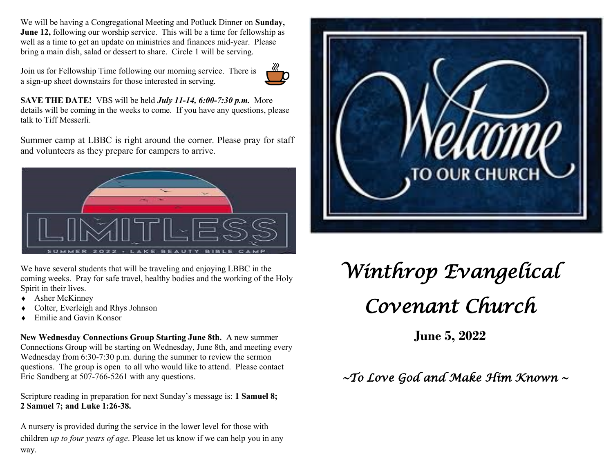We will be having a Congregational Meeting and Potluck Dinner on **Sunday, June 12,** following our worship service. This will be a time for fellowship as well as a time to get an update on ministries and finances mid-year. Please bring a main dish, salad or dessert to share. Circle 1 will be serving.

Join us for Fellowship Time following our morning service. There is a sign-up sheet downstairs for those interested in serving.



**SAVE THE DATE!** VBS will be held *July 11-14, 6:00-7:30 p.m.* More details will be coming in the weeks to come. If you have any questions, please talk to Tiff Messerli.

Summer camp at LBBC is right around the corner. Please pray for staff and volunteers as they prepare for campers to arrive.



We have several students that will be traveling and enjoying LBBC in the coming weeks. Pray for safe travel, healthy bodies and the working of the Holy Spirit in their lives.

- Asher McKinney
- Colter, Everleigh and Rhys Johnson
- Emilie and Gavin Konsor

**New Wednesday Connections Group Starting June 8th.** A new summer Connections Group will be starting on Wednesday, June 8th, and meeting every Wednesday from 6:30-7:30 p.m. during the summer to review the sermon questions. The group is open to all who would like to attend. Please contact Eric Sandberg at 507-766-5261 with any questions.

Scripture reading in preparation for next Sunday's message is: **1 Samuel 8; 2 Samuel 7; and Luke 1:26-38.**

A nursery is provided during the service in the lower level for those with children *up to four years of age*. Please let us know if we can help you in any way.



# *Winthrop Evangelical Covenant Church*

**June 5, 2022**

 *~To Love God and Make Him Known ~*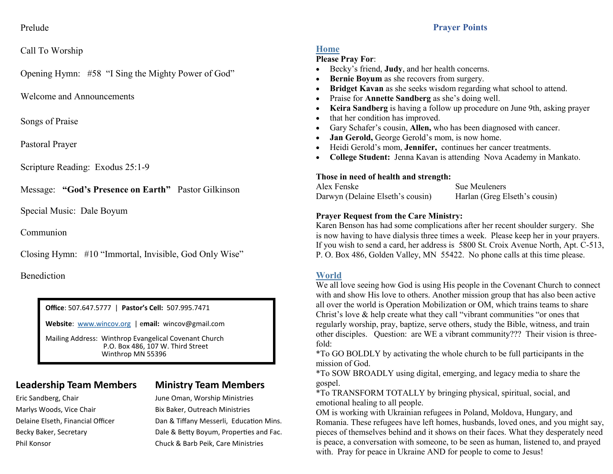#### **Prayer Points**

#### Prelude

#### Call To Worship

Opening Hymn: #58 "I Sing the Mighty Power of God"

Welcome and Announcements

Songs of Praise

Pastoral Prayer

Scripture Reading: Exodus 25:1-9

Message: **"God's Presence on Earth"** Pastor Gilkinson

Special Music: Dale Boyum

Communion

Closing Hymn: #10 "Immortal, Invisible, God Only Wise"

Benediction

**Office**: 507.647.5777 | **Pastor's Cell:** 507.995.7471

**Website**: [www.wincov.org](http://www.wincov.org) | e**mail:** wincov@gmail.com

Mailing Address: Winthrop Evangelical Covenant Church P.O. Box 486, 107 W. Third Street Winthrop MN 55396

### **Leadership Team Members Ministry Team Members**

Marlys Woods, Vice Chair **Bix Baker**, Outreach Ministries

Eric Sandberg, Chair **June Oman, Worship Ministries** Delaine Elseth, Financial Officer **Dan & Tiffany Messerli, Education Mins.** Becky Baker, Secretary The Books and Fac. Dale & Betty Boyum, Properties and Fac. Phil Konsor Chuck & Barb Peik, Care Ministries

#### **Home**

#### **Please Pray For**:

- Becky's friend, **Judy**, and her health concerns.
- **Bernie Boyum** as she recovers from surgery.
- **Bridget Kavan** as she seeks wisdom regarding what school to attend.
- Praise for **Annette Sandberg** as she's doing well.
- **Keira Sandberg** is having a follow up procedure on June 9th, asking prayer
- that her condition has improved.
- Gary Schafer's cousin, **Allen,** who has been diagnosed with cancer.
- **Jan Gerold,** George Gerold's mom, is now home.
- Heidi Gerold's mom, **Jennifer,** continues her cancer treatments.
- **College Student:** Jenna Kavan is attending Nova Academy in Mankato.

#### **Those in need of health and strength:**

| Alex Fenske                      | Sue Meuleners                 |
|----------------------------------|-------------------------------|
| Darwyn (Delaine Elseth's cousin) | Harlan (Greg Elseth's cousin) |

#### **Prayer Request from the Care Ministry:**

Karen Benson has had some complications after her recent shoulder surgery. She is now having to have dialysis three times a week. Please keep her in your prayers. If you wish to send a card, her address is 5800 St. Croix Avenue North, Apt. C-513, P. O. Box 486, Golden Valley, MN 55422. No phone calls at this time please.

#### **World**

We all love seeing how God is using His people in the Covenant Church to connect with and show His love to others. Another mission group that has also been active all over the world is Operation Mobilization or OM, which trains teams to share Christ's love & help create what they call "vibrant communities "or ones that regularly worship, pray, baptize, serve others, study the Bible, witness, and train other disciples. Question: are WE a vibrant community??? Their vision is threefold:

\*To GO BOLDLY by activating the whole church to be full participants in the mission of God.

\*To SOW BROADLY using digital, emerging, and legacy media to share the gospel.

\*To TRANSFORM TOTALLY by bringing physical, spiritual, social, and emotional healing to all people.

OM is working with Ukrainian refugees in Poland, Moldova, Hungary, and Romania. These refugees have left homes, husbands, loved ones, and you might say, pieces of themselves behind and it shows on their faces. What they desperately need is peace, a conversation with someone, to be seen as human, listened to, and prayed with. Pray for peace in Ukraine AND for people to come to Jesus!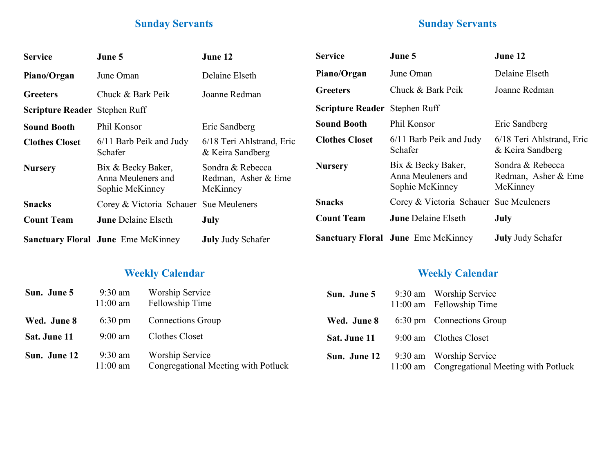# **Sunday Servants**

## **Sunday Servants**

| <b>Service</b>                       | June 5                                                      | June 12                                             | <b>Service</b>                | June 5                                                      | June 12                                             |
|--------------------------------------|-------------------------------------------------------------|-----------------------------------------------------|-------------------------------|-------------------------------------------------------------|-----------------------------------------------------|
| Piano/Organ                          | June Oman                                                   | Delaine Elseth                                      | Piano/Organ<br>June Oman      |                                                             | Delaine Elseth                                      |
| <b>Greeters</b>                      | Chuck & Bark Peik                                           | Joanne Redman                                       | <b>Greeters</b>               | Chuck & Bark Peik                                           | Joanne Redman                                       |
| <b>Scripture Reader Stephen Ruff</b> |                                                             |                                                     | Scripture Reader Stephen Ruff |                                                             |                                                     |
| <b>Sound Booth</b>                   | Phil Konsor                                                 | Eric Sandberg                                       | <b>Sound Booth</b>            | Phil Konsor                                                 | Eric Sandberg                                       |
| <b>Clothes Closet</b>                | 6/11 Barb Peik and Judy<br>Schafer                          | 6/18 Teri Ahlstrand, Eric<br>& Keira Sandberg       | <b>Clothes Closet</b>         | 6/11 Barb Peik and Judy<br>Schafer                          | 6/18 Teri Ahlstrand, Eric<br>& Keira Sandberg       |
| <b>Nursery</b>                       | Bix & Becky Baker,<br>Anna Meuleners and<br>Sophie McKinney | Sondra & Rebecca<br>Redman, Asher & Eme<br>McKinney | <b>Nursery</b>                | Bix & Becky Baker,<br>Anna Meuleners and<br>Sophie McKinney | Sondra & Rebecca<br>Redman, Asher & Eme<br>McKinney |
| <b>Snacks</b>                        | Corey & Victoria Schauer Sue Meuleners                      |                                                     | <b>Snacks</b>                 | Corey & Victoria Schauer Sue Meuleners                      |                                                     |
| <b>Count Team</b>                    | <b>June Delaine Elseth</b>                                  | July                                                | <b>Count Team</b>             | <b>June Delaine Elseth</b>                                  | July                                                |
|                                      | <b>Sanctuary Floral June Eme McKinney</b>                   | <b>July Judy Schafer</b>                            |                               | <b>Sanctuary Floral June Eme McKinney</b>                   | <b>July Judy Schafer</b>                            |

# **Weekly Calendar Weekly Calendar**

| Sun. June 5  | $9:30$ am<br>$11:00$ am | Worship Service<br>Fellowship Time                            | Sun. June 5  | 9:30 am Worship Service<br>11:00 am Fellowship Time                     |
|--------------|-------------------------|---------------------------------------------------------------|--------------|-------------------------------------------------------------------------|
| Wed. June 8  | $6:30 \text{ pm}$       | Connections Group                                             | Wed. June 8  | 6:30 pm Connections Group                                               |
| Sat. June 11 | $9:00$ am               | Clothes Closet                                                | Sat. June 11 | 9:00 am Clothes Closet                                                  |
| Sun. June 12 | $9:30$ am<br>11:00 am   | <b>Worship Service</b><br>Congregational Meeting with Potluck | Sun. June 12 | 9:30 am Worship Service<br>11:00 am Congregational Meeting with Potluck |